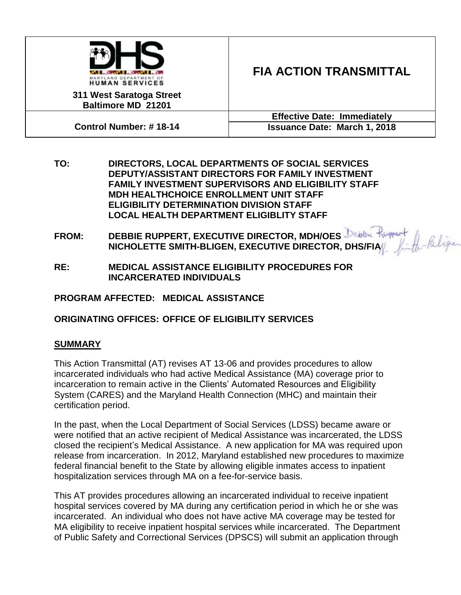

# **311 West Saratoga Street Baltimore MD 21201**

# **FIA ACTION TRANSMITTAL**

**Control Number: # 18-14**

**Effective Date: Immediately Issuance Date: March 1, 2018**

- **TO: DIRECTORS, LOCAL DEPARTMENTS OF SOCIAL SERVICES DEPUTY/ASSISTANT DIRECTORS FOR FAMILY INVESTMENT FAMILY INVESTMENT SUPERVISORS AND ELIGIBILITY STAFF MDH HEALTHCHOICE ENROLLMENT UNIT STAFF ELIGIBILITY DETERMINATION DIVISION STAFF LOCAL HEALTH DEPARTMENT ELIGIBLITY STAFF**
- **FROM: DEBBIE RUPPERT, EXECUTIVE DIRECTOR, MDH/OES NICHOLETTE SMITH-BLIGEN, EXECUTIVE DIRECTOR, DHS/FIA**
- **RE: MEDICAL ASSISTANCE ELIGIBILITY PROCEDURES FOR INCARCERATED INDIVIDUALS**

**PROGRAM AFFECTED: MEDICAL ASSISTANCE** 

# **ORIGINATING OFFICES: OFFICE OF ELIGIBILITY SERVICES**

# **SUMMARY**

This Action Transmittal (AT) revises AT 13-06 and provides procedures to allow incarcerated individuals who had active Medical Assistance (MA) coverage prior to incarceration to remain active in the Clients' Automated Resources and Eligibility System (CARES) and the Maryland Health Connection (MHC) and maintain their certification period.

In the past, when the Local Department of Social Services (LDSS) became aware or were notified that an active recipient of Medical Assistance was incarcerated, the LDSS closed the recipient's Medical Assistance. A new application for MA was required upon release from incarceration. In 2012, Maryland established new procedures to maximize federal financial benefit to the State by allowing eligible inmates access to inpatient hospitalization services through MA on a fee-for-service basis.

This AT provides procedures allowing an incarcerated individual to receive inpatient hospital services covered by MA during any certification period in which he or she was incarcerated. An individual who does not have active MA coverage may be tested for MA eligibility to receive inpatient hospital services while incarcerated. The Department of Public Safety and Correctional Services (DPSCS) will submit an application through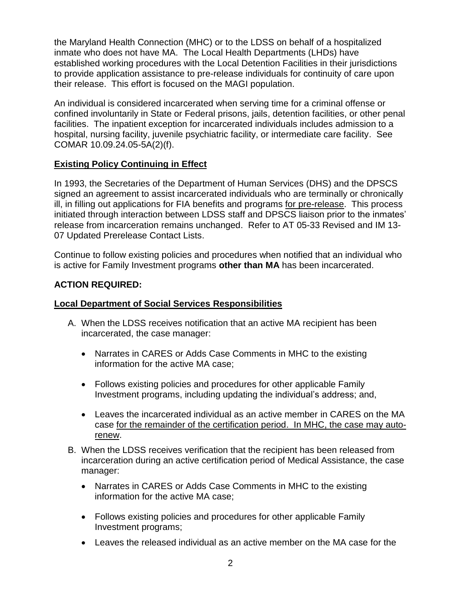the Maryland Health Connection (MHC) or to the LDSS on behalf of a hospitalized inmate who does not have MA. The Local Health Departments (LHDs) have established working procedures with the Local Detention Facilities in their jurisdictions to provide application assistance to pre-release individuals for continuity of care upon their release. This effort is focused on the MAGI population.

An individual is considered incarcerated when serving time for a criminal offense or confined involuntarily in State or Federal prisons, jails, detention facilities, or other penal facilities. The inpatient exception for incarcerated individuals includes admission to a hospital, nursing facility, juvenile psychiatric facility, or intermediate care facility. See COMAR 10.09.24.05-5A(2)(f).

## **Existing Policy Continuing in Effect**

In 1993, the Secretaries of the Department of Human Services (DHS) and the DPSCS signed an agreement to assist incarcerated individuals who are terminally or chronically ill, in filling out applications for FIA benefits and programs for pre-release. This process initiated through interaction between LDSS staff and DPSCS liaison prior to the inmates' release from incarceration remains unchanged. Refer to AT 05-33 Revised and IM 13- 07 Updated Prerelease Contact Lists.

Continue to follow existing policies and procedures when notified that an individual who is active for Family Investment programs **other than MA** has been incarcerated.

## **ACTION REQUIRED:**

#### **Local Department of Social Services Responsibilities**

- A. When the LDSS receives notification that an active MA recipient has been incarcerated, the case manager:
	- Narrates in CARES or Adds Case Comments in MHC to the existing information for the active MA case;
	- Follows existing policies and procedures for other applicable Family Investment programs, including updating the individual's address; and,
	- Leaves the incarcerated individual as an active member in CARES on the MA case for the remainder of the certification period. In MHC, the case may autorenew.
- B. When the LDSS receives verification that the recipient has been released from incarceration during an active certification period of Medical Assistance, the case manager:
	- Narrates in CARES or Adds Case Comments in MHC to the existing information for the active MA case;
	- Follows existing policies and procedures for other applicable Family Investment programs;
	- Leaves the released individual as an active member on the MA case for the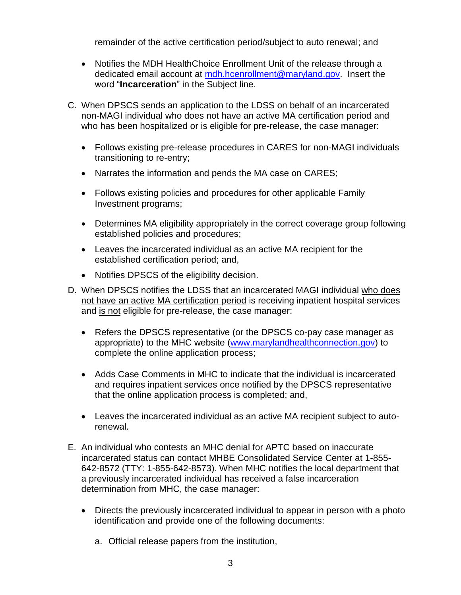remainder of the active certification period/subject to auto renewal; and

- Notifies the MDH HealthChoice Enrollment Unit of the release through a dedicated email account at [mdh.hcenrollment@maryland.gov.](mailto:dhmh.mdh.hcenrollment@maryland.gov) Insert the word "**Incarceration**" in the Subject line.
- C. When DPSCS sends an application to the LDSS on behalf of an incarcerated non-MAGI individual who does not have an active MA certification period and who has been hospitalized or is eligible for pre-release, the case manager:
	- Follows existing pre-release procedures in CARES for non-MAGI individuals transitioning to re-entry;
	- Narrates the information and pends the MA case on CARES;
	- Follows existing policies and procedures for other applicable Family Investment programs;
	- Determines MA eligibility appropriately in the correct coverage group following established policies and procedures;
	- Leaves the incarcerated individual as an active MA recipient for the established certification period; and,
	- Notifies DPSCS of the eligibility decision.
- D. When DPSCS notifies the LDSS that an incarcerated MAGI individual who does not have an active MA certification period is receiving inpatient hospital services and is not eligible for pre-release, the case manager:
	- Refers the DPSCS representative (or the DPSCS co-pay case manager as appropriate) to the MHC website [\(www.marylandhealthconnection.gov\)](http://www.marylandhealthconnection.gov/) to complete the online application process;
	- Adds Case Comments in MHC to indicate that the individual is incarcerated and requires inpatient services once notified by the DPSCS representative that the online application process is completed; and,
	- Leaves the incarcerated individual as an active MA recipient subject to autorenewal.
- E. An individual who contests an MHC denial for APTC based on inaccurate incarcerated status can contact MHBE Consolidated Service Center at 1-855- 642-8572 (TTY: 1-855-642-8573). When MHC notifies the local department that a previously incarcerated individual has received a false incarceration determination from MHC, the case manager:
	- Directs the previously incarcerated individual to appear in person with a photo identification and provide one of the following documents:
		- a. Official release papers from the institution,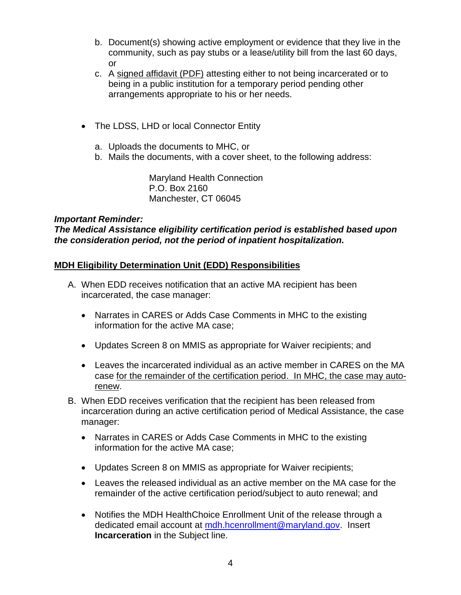- b. Document(s) showing active employment or evidence that they live in the community, such as pay stubs or a lease/utility bill from the last 60 days, or
- c. A [signed affidavit \(PDF\)](https://www.marylandhealthconnection.gov/wp-content/uploads/2014/12/Affidavit_Incarceration.pdf) attesting either to not being incarcerated or to being in a public institution for a temporary period pending other arrangements appropriate to his or her needs.
- The LDSS, LHD or local Connector Entity
	- a. Uploads the documents to MHC, or
	- b. Mails the documents, with a cover sheet, to the following address:

Maryland Health Connection P.O. Box 2160 Manchester, CT 06045

#### *Important Reminder:*

*The Medical Assistance eligibility certification period is established based upon the consideration period, not the period of inpatient hospitalization.*

#### **MDH Eligibility Determination Unit (EDD) Responsibilities**

- A. When EDD receives notification that an active MA recipient has been incarcerated, the case manager:
	- Narrates in CARES or Adds Case Comments in MHC to the existing information for the active MA case;
	- Updates Screen 8 on MMIS as appropriate for Waiver recipients; and
	- Leaves the incarcerated individual as an active member in CARES on the MA case for the remainder of the certification period. In MHC, the case may autorenew.
- B. When EDD receives verification that the recipient has been released from incarceration during an active certification period of Medical Assistance, the case manager:
	- Narrates in CARES or Adds Case Comments in MHC to the existing information for the active MA case;
	- Updates Screen 8 on MMIS as appropriate for Waiver recipients;
	- Leaves the released individual as an active member on the MA case for the remainder of the active certification period/subject to auto renewal; and
	- Notifies the MDH HealthChoice Enrollment Unit of the release through a dedicated email account at [mdh.hcenrollment@maryland.gov.](mailto:mdh.hcenrollment@maryland.gov) Insert **Incarceration** in the Subject line.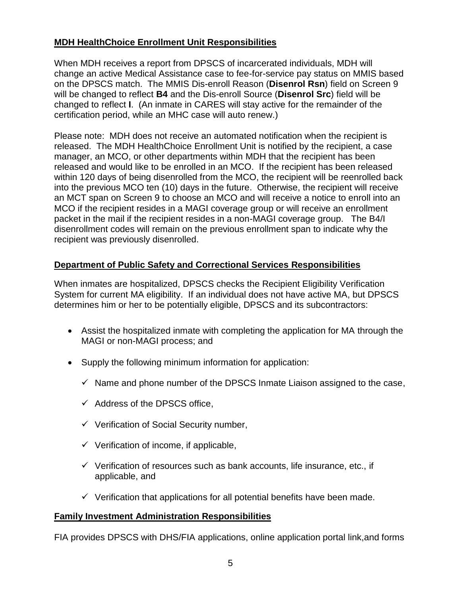# **MDH HealthChoice Enrollment Unit Responsibilities**

When MDH receives a report from DPSCS of incarcerated individuals, MDH will change an active Medical Assistance case to fee-for-service pay status on MMIS based on the DPSCS match. The MMIS Dis-enroll Reason (**Disenrol Rsn**) field on Screen 9 will be changed to reflect **B4** and the Dis-enroll Source (**Disenrol Src**) field will be changed to reflect **I**. (An inmate in CARES will stay active for the remainder of the certification period, while an MHC case will auto renew.)

Please note: MDH does not receive an automated notification when the recipient is released. The MDH HealthChoice Enrollment Unit is notified by the recipient, a case manager, an MCO, or other departments within MDH that the recipient has been released and would like to be enrolled in an MCO. If the recipient has been released within 120 days of being disenrolled from the MCO, the recipient will be reenrolled back into the previous MCO ten (10) days in the future. Otherwise, the recipient will receive an MCT span on Screen 9 to choose an MCO and will receive a notice to enroll into an MCO if the recipient resides in a MAGI coverage group or will receive an enrollment packet in the mail if the recipient resides in a non-MAGI coverage group. The B4/I disenrollment codes will remain on the previous enrollment span to indicate why the recipient was previously disenrolled.

## **Department of Public Safety and Correctional Services Responsibilities**

When inmates are hospitalized, DPSCS checks the Recipient Eligibility Verification System for current MA eligibility. If an individual does not have active MA, but DPSCS determines him or her to be potentially eligible, DPSCS and its subcontractors:

- Assist the hospitalized inmate with completing the application for MA through the MAGI or non-MAGI process; and
- Supply the following minimum information for application:
	- $\checkmark$  Name and phone number of the DPSCS Inmate Liaison assigned to the case,
	- $\checkmark$  Address of the DPSCS office,
	- $\checkmark$  Verification of Social Security number,
	- $\checkmark$  Verification of income, if applicable,
	- $\checkmark$  Verification of resources such as bank accounts, life insurance, etc., if applicable, and
	- $\checkmark$  Verification that applications for all potential benefits have been made.

## **Family Investment Administration Responsibilities**

FIA provides DPSCS with DHS/FIA applications, online application portal link,and forms